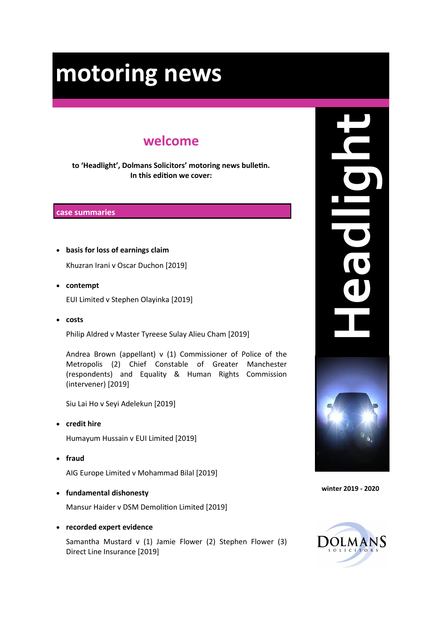## **welcome**

**to 'Headlight', Dolmans Solicitors' motoring news bulletin. In this edition we cover:**

#### **case summaries**

**basis for loss of earnings claim**

Khuzran Irani v Oscar Duchon [2019]

- **contempt** EUI Limited v Stephen Olayinka [2019]
- **costs**

Philip Aldred v Master Tyreese Sulay Alieu Cham [2019]

Andrea Brown (appellant) v (1) Commissioner of Police of the Metropolis (2) Chief Constable of Greater Manchester (respondents) and Equality & Human Rights Commission (intervener) [2019]

Siu Lai Ho v Seyi Adelekun [2019]

**credit hire**

Humayum Hussain v EUI Limited [2019]

**fraud**

AIG Europe Limited v Mohammad Bilal [2019]

**fundamental dishonesty**

Mansur Haider v DSM Demolition Limited [2019]

**recorded expert evidence**

Samantha Mustard v (1) Jamie Flower (2) Stephen Flower (3) Direct Line Insurance [2019]



**winter 2019 - 2020**

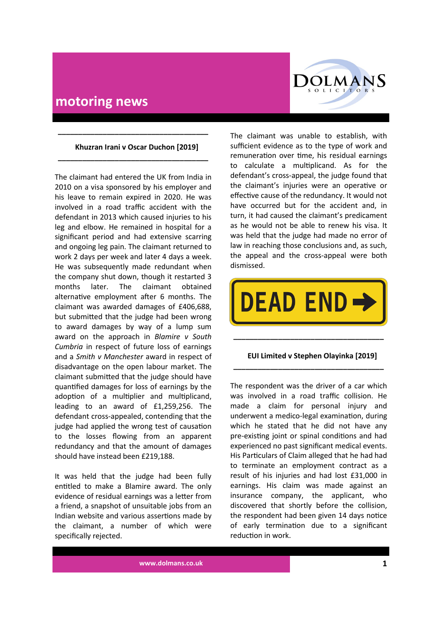

#### **Khuzran Irani v Oscar Duchon [2019]**

**\_\_\_\_\_\_\_\_\_\_\_\_\_\_\_\_\_\_\_\_\_\_\_\_\_\_\_\_\_\_\_\_\_\_\_\_\_**

**\_\_\_\_\_\_\_\_\_\_\_\_\_\_\_\_\_\_\_\_\_\_\_\_\_\_\_\_\_\_\_\_\_\_\_\_\_**

The claimant had entered the UK from India in 2010 on a visa sponsored by his employer and his leave to remain expired in 2020. He was involved in a road traffic accident with the defendant in 2013 which caused injuries to his leg and elbow. He remained in hospital for a significant period and had extensive scarring and ongoing leg pain. The claimant returned to work 2 days per week and later 4 days a week. He was subsequently made redundant when the company shut down, though it restarted 3 months later. The claimant obtained alternative employment after 6 months. The claimant was awarded damages of £406,688, but submitted that the judge had been wrong to award damages by way of a lump sum award on the approach in *Blamire v South Cumbria* in respect of future loss of earnings and a *Smith v Manchester* award in respect of disadvantage on the open labour market. The claimant submitted that the judge should have quantified damages for loss of earnings by the adoption of a multiplier and multiplicand, leading to an award of £1,259,256. The defendant cross-appealed, contending that the judge had applied the wrong test of causation to the losses flowing from an apparent redundancy and that the amount of damages should have instead been £219,188.

It was held that the judge had been fully entitled to make a Blamire award. The only evidence of residual earnings was a letter from a friend, a snapshot of unsuitable jobs from an Indian website and various assertions made by the claimant, a number of which were specifically rejected.

The claimant was unable to establish, with sufficient evidence as to the type of work and remuneration over time, his residual earnings to calculate a multiplicand. As for the defendant's cross-appeal, the judge found that the claimant's injuries were an operative or effective cause of the redundancy. It would not have occurred but for the accident and, in turn, it had caused the claimant's predicament as he would not be able to renew his visa. It was held that the judge had made no error of law in reaching those conclusions and, as such, the appeal and the cross-appeal were both dismissed.



**\_\_\_\_\_\_\_\_\_\_\_\_\_\_\_\_\_\_\_\_\_\_\_\_\_\_\_\_\_\_\_\_\_\_\_\_\_**

#### **EUI Limited v Stephen Olayinka [2019] \_\_\_\_\_\_\_\_\_\_\_\_\_\_\_\_\_\_\_\_\_\_\_\_\_\_\_\_\_\_\_\_\_\_\_\_\_**

The respondent was the driver of a car which was involved in a road traffic collision. He made a claim for personal injury and underwent a medico-legal examination, during which he stated that he did not have any pre-existing joint or spinal conditions and had experienced no past significant medical events. His Particulars of Claim alleged that he had had to terminate an employment contract as a result of his injuries and had lost £31,000 in earnings. His claim was made against an insurance company, the applicant, who discovered that shortly before the collision, the respondent had been given 14 days notice of early termination due to a significant reduction in work.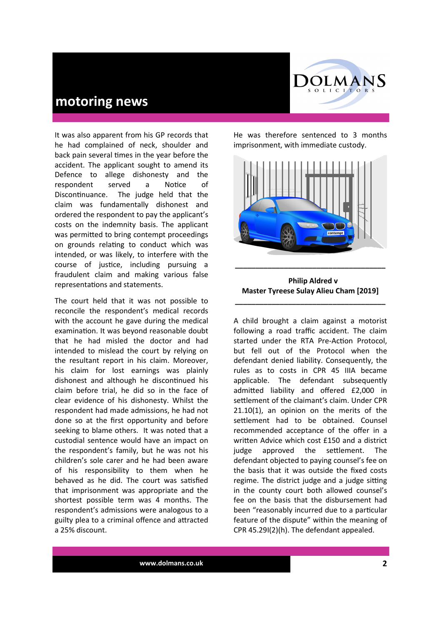It was also apparent from his GP records that he had complained of neck, shoulder and back pain several times in the year before the accident. The applicant sought to amend its Defence to allege dishonesty and the respondent served a Notice of Discontinuance. The judge held that the claim was fundamentally dishonest and ordered the respondent to pay the applicant's costs on the indemnity basis. The applicant was permitted to bring contempt proceedings on grounds relating to conduct which was intended, or was likely, to interfere with the course of justice, including pursuing a fraudulent claim and making various false representations and statements.

The court held that it was not possible to reconcile the respondent's medical records with the account he gave during the medical examination. It was beyond reasonable doubt that he had misled the doctor and had intended to mislead the court by relying on the resultant report in his claim. Moreover, his claim for lost earnings was plainly dishonest and although he discontinued his claim before trial, he did so in the face of clear evidence of his dishonesty. Whilst the respondent had made admissions, he had not done so at the first opportunity and before seeking to blame others. It was noted that a custodial sentence would have an impact on the respondent's family, but he was not his children's sole carer and he had been aware of his responsibility to them when he behaved as he did. The court was satisfied that imprisonment was appropriate and the shortest possible term was 4 months. The respondent's admissions were analogous to a guilty plea to a criminal offence and attracted a 25% discount.

He was therefore sentenced to 3 months imprisonment, with immediate custody.

OLMANS SOLICITORS



 **Philip Aldred v Master Tyreese Sulay Alieu Cham [2019]**

**\_\_\_\_\_\_\_\_\_\_\_\_\_\_\_\_\_\_\_\_\_\_\_\_\_\_\_\_\_\_\_\_\_\_\_\_\_**

A child brought a claim against a motorist following a road traffic accident. The claim started under the RTA Pre-Action Protocol, but fell out of the Protocol when the defendant denied liability. Consequently, the rules as to costs in CPR 45 IIIA became applicable. The defendant subsequently admitted liability and offered £2,000 in settlement of the claimant's claim. Under CPR 21.10(1), an opinion on the merits of the settlement had to be obtained. Counsel recommended acceptance of the offer in a written Advice which cost £150 and a district judge approved the settlement. The defendant objected to paying counsel's fee on the basis that it was outside the fixed costs regime. The district judge and a judge sitting in the county court both allowed counsel's fee on the basis that the disbursement had been "reasonably incurred due to a particular feature of the dispute" within the meaning of CPR 45.29I(2)(h). The defendant appealed.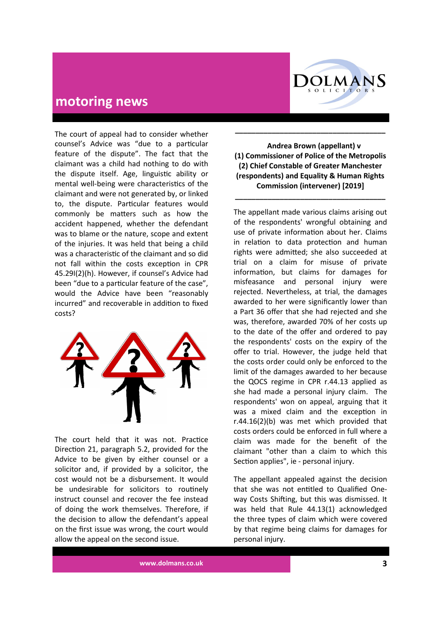

The court of appeal had to consider whether counsel's Advice was "due to a particular feature of the dispute". The fact that the claimant was a child had nothing to do with the dispute itself. Age, linguistic ability or mental well-being were characteristics of the claimant and were not generated by, or linked to, the dispute. Particular features would commonly be matters such as how the accident happened, whether the defendant was to blame or the nature, scope and extent of the injuries. It was held that being a child was a characteristic of the claimant and so did not fall within the costs exception in CPR 45.29I(2)(h). However, if counsel's Advice had been "due to a particular feature of the case", would the Advice have been "reasonably incurred" and recoverable in addition to fixed costs?



The court held that it was not. Practice Direction 21, paragraph 5.2, provided for the Advice to be given by either counsel or a solicitor and, if provided by a solicitor, the cost would not be a disbursement. It would be undesirable for solicitors to routinely instruct counsel and recover the fee instead of doing the work themselves. Therefore, if the decision to allow the defendant's appeal on the first issue was wrong, the court would allow the appeal on the second issue.

#### **Andrea Brown (appellant) v (1) Commissioner of Police of the Metropolis (2) Chief Constable of Greater Manchester (respondents) and Equality & Human Rights Commission (intervener) [2019]**

**\_\_\_\_\_\_\_\_\_\_\_\_\_\_\_\_\_\_\_\_\_\_\_\_\_\_\_\_\_\_\_\_\_\_\_\_\_**

**\_\_\_\_\_\_\_\_\_\_\_\_\_\_\_\_\_\_\_\_\_\_\_\_\_\_\_\_\_\_\_\_\_\_\_\_\_**

The appellant made various claims arising out of the respondents' wrongful obtaining and use of private information about her. Claims in relation to data protection and human rights were admitted; she also succeeded at trial on a claim for misuse of private information, but claims for damages for misfeasance and personal injury were rejected. Nevertheless, at trial, the damages awarded to her were significantly lower than a Part 36 offer that she had rejected and she was, therefore, awarded 70% of her costs up to the date of the offer and ordered to pay the respondents' costs on the expiry of the offer to trial. However, the judge held that the costs order could only be enforced to the limit of the damages awarded to her because the QOCS regime in CPR r.44.13 applied as she had made a personal injury claim. The respondents' won on appeal, arguing that it was a mixed claim and the exception in r.44.16(2)(b) was met which provided that costs orders could be enforced in full where a claim was made for the benefit of the claimant "other than a claim to which this Section applies", ie - personal injury.

The appellant appealed against the decision that she was not entitled to Qualified Oneway Costs Shifting, but this was dismissed. It was held that Rule 44.13(1) acknowledged the three types of claim which were covered by that regime being claims for damages for personal injury.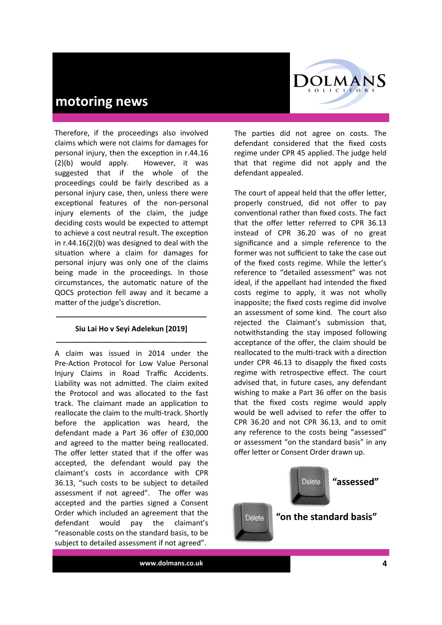

Therefore, if the proceedings also involved claims which were not claims for damages for personal injury, then the exception in r.44.16 (2)(b) would apply. However, it was suggested that if the whole of the proceedings could be fairly described as a personal injury case, then, unless there were exceptional features of the non-personal injury elements of the claim, the judge deciding costs would be expected to attempt to achieve a cost neutral result. The exception in r.44.16(2)(b) was designed to deal with the situation where a claim for damages for personal injury was only one of the claims being made in the proceedings. In those circumstances, the automatic nature of the QOCS protection fell away and it became a matter of the judge's discretion.

#### **Siu Lai Ho v Seyi Adelekun [2019] \_\_\_\_\_\_\_\_\_\_\_\_\_\_\_\_\_\_\_\_\_\_\_\_\_\_\_\_\_\_\_\_\_\_\_\_\_**

**\_\_\_\_\_\_\_\_\_\_\_\_\_\_\_\_\_\_\_\_\_\_\_\_\_\_\_\_\_\_\_\_\_\_\_\_\_**

A claim was issued in 2014 under the Pre-Action Protocol for Low Value Personal Injury Claims in Road Traffic Accidents. Liability was not admitted. The claim exited the Protocol and was allocated to the fast track. The claimant made an application to reallocate the claim to the multi-track. Shortly before the application was heard, the defendant made a Part 36 offer of £30,000 and agreed to the matter being reallocated. The offer letter stated that if the offer was accepted, the defendant would pay the claimant's costs in accordance with CPR 36.13, "such costs to be subject to detailed assessment if not agreed". The offer was accepted and the parties signed a Consent Order which included an agreement that the defendant would pay the claimant's "reasonable costs on the standard basis, to be subject to detailed assessment if not agreed".

The parties did not agree on costs. The defendant considered that the fixed costs regime under CPR 45 applied. The judge held that that regime did not apply and the defendant appealed.

The court of appeal held that the offer letter, properly construed, did not offer to pay conventional rather than fixed costs. The fact that the offer letter referred to CPR 36.13 instead of CPR 36.20 was of no great significance and a simple reference to the former was not sufficient to take the case out of the fixed costs regime. While the letter's reference to "detailed assessment" was not ideal, if the appellant had intended the fixed costs regime to apply, it was not wholly inapposite; the fixed costs regime did involve an assessment of some kind. The court also reiected the Claimant's submission that, notwithstanding the stay imposed following acceptance of the offer, the claim should be reallocated to the multi-track with a direction under CPR 46.13 to disapply the fixed costs regime with retrospective effect. The court advised that, in future cases, any defendant wishing to make a Part 36 offer on the basis that the fixed costs regime would apply would be well advised to refer the offer to CPR 36.20 and not CPR 36.13, and to omit any reference to the costs being "assessed" or assessment "on the standard basis" in any offer letter or Consent Order drawn up.

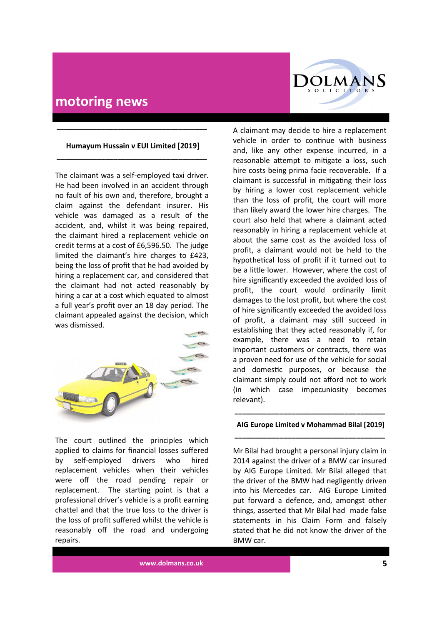

#### **Humayum Hussain v EUI Limited [2019] \_\_\_\_\_\_\_\_\_\_\_\_\_\_\_\_\_\_\_\_\_\_\_\_\_\_\_\_\_\_\_\_\_\_\_\_\_**

**\_\_\_\_\_\_\_\_\_\_\_\_\_\_\_\_\_\_\_\_\_\_\_\_\_\_\_\_\_\_\_\_\_\_\_\_\_**

The claimant was a self-employed taxi driver. He had been involved in an accident through no fault of his own and, therefore, brought a claim against the defendant insurer. His vehicle was damaged as a result of the accident, and, whilst it was being repaired, the claimant hired a replacement vehicle on credit terms at a cost of £6,596.50. The judge limited the claimant's hire charges to £423, being the loss of profit that he had avoided by hiring a replacement car, and considered that the claimant had not acted reasonably by hiring a car at a cost which equated to almost a full year's profit over an 18 day period. The claimant appealed against the decision, which was dismissed.



The court outlined the principles which applied to claims for financial losses suffered by self-employed drivers who hired replacement vehicles when their vehicles were off the road pending repair or replacement. The starting point is that a professional driver's vehicle is a profit earning chattel and that the true loss to the driver is the loss of profit suffered whilst the vehicle is reasonably off the road and undergoing repairs.

A claimant may decide to hire a replacement vehicle in order to continue with business and, like any other expense incurred, in a reasonable attempt to mitigate a loss, such hire costs being prima facie recoverable. If a claimant is successful in mitigating their loss by hiring a lower cost replacement vehicle than the loss of profit, the court will more than likely award the lower hire charges. The court also held that where a claimant acted reasonably in hiring a replacement vehicle at about the same cost as the avoided loss of profit, a claimant would not be held to the hypothetical loss of profit if it turned out to be a little lower. However, where the cost of hire significantly exceeded the avoided loss of profit, the court would ordinarily limit damages to the lost profit, but where the cost of hire significantly exceeded the avoided loss of profit, a claimant may still succeed in establishing that they acted reasonably if, for example, there was a need to retain important customers or contracts, there was a proven need for use of the vehicle for social and domestic purposes, or because the claimant simply could not afford not to work (in which case impecuniosity becomes relevant).

#### **\_\_\_\_\_\_\_\_\_\_\_\_\_\_\_\_\_\_\_\_\_\_\_\_\_\_\_\_\_\_\_\_\_\_\_\_\_ AIG Europe Limited v Mohammad Bilal [2019] \_\_\_\_\_\_\_\_\_\_\_\_\_\_\_\_\_\_\_\_\_\_\_\_\_\_\_\_\_\_\_\_\_\_\_\_\_**

Mr Bilal had brought a personal injury claim in 2014 against the driver of a BMW car insured by AIG Europe Limited. Mr Bilal alleged that the driver of the BMW had negligently driven into his Mercedes car. AIG Europe Limited put forward a defence, and, amongst other things, asserted that Mr Bilal had made false statements in his Claim Form and falsely stated that he did not know the driver of the BMW car.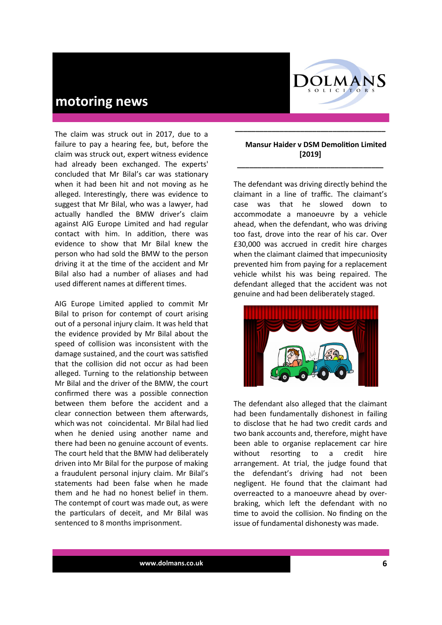

The claim was struck out in 2017, due to a failure to pay a hearing fee, but, before the claim was struck out, expert witness evidence had already been exchanged. The experts' concluded that Mr Bilal's car was stationary when it had been hit and not moving as he alleged. Interestingly, there was evidence to suggest that Mr Bilal, who was a lawyer, had actually handled the BMW driver's claim against AIG Europe Limited and had regular contact with him. In addition, there was evidence to show that Mr Bilal knew the person who had sold the BMW to the person driving it at the time of the accident and Mr Bilal also had a number of aliases and had used different names at different times.

AIG Europe Limited applied to commit Mr Bilal to prison for contempt of court arising out of a personal injury claim. It was held that the evidence provided by Mr Bilal about the speed of collision was inconsistent with the damage sustained, and the court was satisfied that the collision did not occur as had been alleged. Turning to the relationship between Mr Bilal and the driver of the BMW, the court confirmed there was a possible connection between them before the accident and a clear connection between them afterwards, which was not coincidental. Mr Bilal had lied when he denied using another name and there had been no genuine account of events. The court held that the BMW had deliberately driven into Mr Bilal for the purpose of making a fraudulent personal injury claim. Mr Bilal's statements had been false when he made them and he had no honest belief in them. The contempt of court was made out, as were the particulars of deceit, and Mr Bilal was sentenced to 8 months imprisonment.

#### **Mansur Haider v DSM Demolition Limited [2019]**

**\_\_\_\_\_\_\_\_\_\_\_\_\_\_\_\_\_\_\_\_\_\_\_\_\_\_\_\_\_\_\_\_\_\_\_\_\_**

**\_\_\_\_\_\_\_\_\_\_\_\_\_\_\_\_\_\_\_\_\_\_\_\_\_\_\_\_\_\_\_\_\_\_\_\_**

The defendant was driving directly behind the claimant in a line of traffic. The claimant's case was that he slowed down to accommodate a manoeuvre by a vehicle ahead, when the defendant, who was driving too fast, drove into the rear of his car. Over £30,000 was accrued in credit hire charges when the claimant claimed that impecuniosity prevented him from paying for a replacement vehicle whilst his was being repaired. The defendant alleged that the accident was not genuine and had been deliberately staged.



The defendant also alleged that the claimant had been fundamentally dishonest in failing to disclose that he had two credit cards and two bank accounts and, therefore, might have been able to organise replacement car hire without resorting to a credit hire arrangement. At trial, the judge found that the defendant's driving had not been negligent. He found that the claimant had overreacted to a manoeuvre ahead by overbraking, which left the defendant with no time to avoid the collision. No finding on the issue of fundamental dishonesty was made.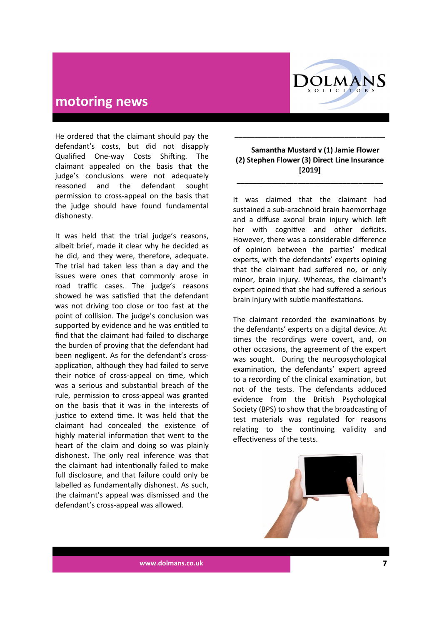

He ordered that the claimant should pay the defendant's costs, but did not disapply Qualified One-way Costs Shifting. The claimant appealed on the basis that the judge's conclusions were not adequately reasoned and the defendant sought permission to cross-appeal on the basis that the judge should have found fundamental dishonesty.

It was held that the trial judge's reasons, albeit brief, made it clear why he decided as he did, and they were, therefore, adequate. The trial had taken less than a day and the issues were ones that commonly arose in road traffic cases. The judge's reasons showed he was satisfied that the defendant was not driving too close or too fast at the point of collision. The judge's conclusion was supported by evidence and he was entitled to find that the claimant had failed to discharge the burden of proving that the defendant had been negligent. As for the defendant's crossapplication, although they had failed to serve their notice of cross-appeal on time, which was a serious and substantial breach of the rule, permission to cross-appeal was granted on the basis that it was in the interests of justice to extend time. It was held that the claimant had concealed the existence of highly material information that went to the heart of the claim and doing so was plainly dishonest. The only real inference was that the claimant had intentionally failed to make full disclosure, and that failure could only be labelled as fundamentally dishonest. As such, the claimant's appeal was dismissed and the defendant's cross-appeal was allowed.

#### **Samantha Mustard v (1) Jamie Flower (2) Stephen Flower (3) Direct Line Insurance [2019]**

**\_\_\_\_\_\_\_\_\_\_\_\_\_\_\_\_\_\_\_\_\_\_\_\_\_\_\_\_\_\_\_\_\_\_\_\_**

**\_\_\_\_\_\_\_\_\_\_\_\_\_\_\_\_\_\_\_\_\_\_\_\_\_\_\_\_\_\_\_\_\_\_\_\_\_**

It was claimed that the claimant had sustained a sub-arachnoid brain haemorrhage and a diffuse axonal brain injury which left her with cognitive and other deficits. However, there was a considerable difference of opinion between the parties' medical experts, with the defendants' experts opining that the claimant had suffered no, or only minor, brain injury. Whereas, the claimant's expert opined that she had suffered a serious brain injury with subtle manifestations.

The claimant recorded the examinations by the defendants' experts on a digital device. At times the recordings were covert, and, on other occasions, the agreement of the expert was sought. During the neuropsychological examination, the defendants' expert agreed to a recording of the clinical examination, but not of the tests. The defendants adduced evidence from the British Psychological Society (BPS) to show that the broadcasting of test materials was regulated for reasons relating to the continuing validity and effectiveness of the tests.



**www.dolmans.co.uk 7**